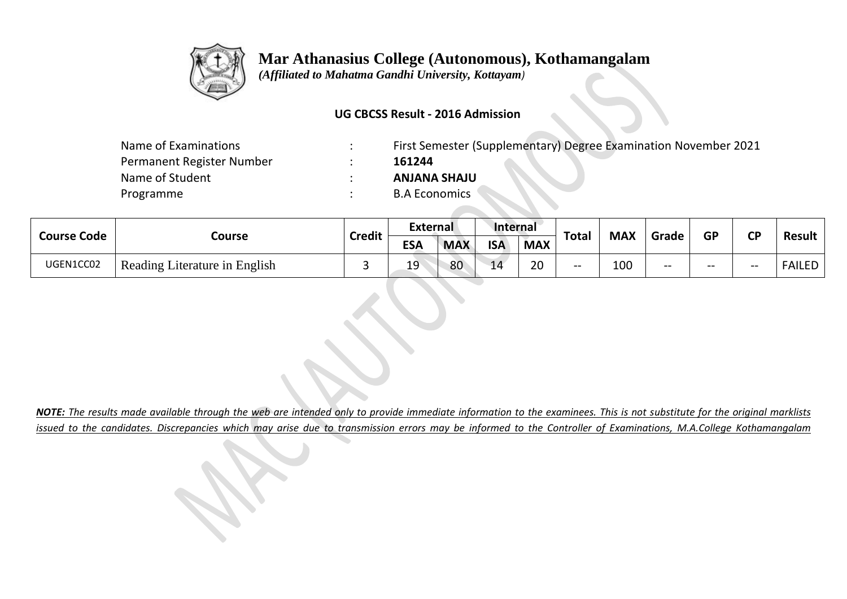

## **Mar Athanasius College (Autonomous), Kothamangalam**

 *(Affiliated to Mahatma Gandhi University, Kottayam)*

## **UG CBCSS Result - 2016 Admission**

| Name of Examinations      | First Semester (Supplementary) Degree Examination November 2021 |
|---------------------------|-----------------------------------------------------------------|
| Permanent Register Number | 161244                                                          |
| Name of Student           | <b>ULAHA SHAJU</b>                                              |
| Programme                 | <b>B.A Economics</b>                                            |
|                           |                                                                 |

| <b>Course Code</b> | Course                        | <b>Credit</b> | <b>External</b> |            | Internal   |            | Total |            |       | <b>GP</b> | <b>CD</b> |               |
|--------------------|-------------------------------|---------------|-----------------|------------|------------|------------|-------|------------|-------|-----------|-----------|---------------|
|                    |                               |               | <b>ESA</b>      | <b>MAX</b> | <b>ISA</b> | <b>MAX</b> |       | <b>MAX</b> | Grade |           |           | <b>Result</b> |
| UGEN1CC02          | Reading Literature in English |               | 19<br>--        | 80         | 14         | 20         | $- -$ | 100        | $- -$ | $- -$     | --        | <b>FAILED</b> |

*NOTE: The results made available through the web are intended only to provide immediate information to the examinees. This is not substitute for the original marklists issued to the candidates. Discrepancies which may arise due to transmission errors may be informed to the Controller of Examinations, M.A.College Kothamangalam*